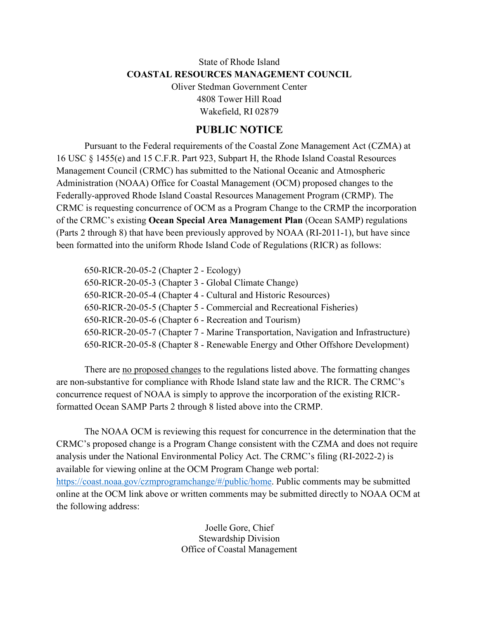## State of Rhode Island **COASTAL RESOURCES MANAGEMENT COUNCIL**

Oliver Stedman Government Center 4808 Tower Hill Road Wakefield, RI 02879

## **PUBLIC NOTICE**

Pursuant to the Federal requirements of the Coastal Zone Management Act (CZMA) at 16 USC § 1455(e) and 15 C.F.R. Part 923, Subpart H, the Rhode Island Coastal Resources Management Council (CRMC) has submitted to the National Oceanic and Atmospheric Administration (NOAA) Office for Coastal Management (OCM) proposed changes to the Federally-approved Rhode Island Coastal Resources Management Program (CRMP). The CRMC is requesting concurrence of OCM as a Program Change to the CRMP the incorporation of the CRMC's existing **Ocean Special Area Management Plan** (Ocean SAMP) regulations (Parts 2 through 8) that have been previously approved by NOAA (RI-2011-1), but have since been formatted into the uniform Rhode Island Code of Regulations (RICR) as follows:

650-RICR-20-05-2 (Chapter 2 - Ecology) 650-RICR-20-05-3 (Chapter 3 - Global Climate Change) 650-RICR-20-05-4 (Chapter 4 - Cultural and Historic Resources) 650-RICR-20-05-5 (Chapter 5 - Commercial and Recreational Fisheries) 650-RICR-20-05-6 (Chapter 6 - Recreation and Tourism) 650-RICR-20-05-7 (Chapter 7 - Marine Transportation, Navigation and Infrastructure) 650-RICR-20-05-8 (Chapter 8 - Renewable Energy and Other Offshore Development)

There are no proposed changes to the regulations listed above. The formatting changes are non-substantive for compliance with Rhode Island state law and the RICR. The CRMC's concurrence request of NOAA is simply to approve the incorporation of the existing RICRformatted Ocean SAMP Parts 2 through 8 listed above into the CRMP.

The NOAA OCM is reviewing this request for concurrence in the determination that the CRMC's proposed change is a Program Change consistent with the CZMA and does not require analysis under the National Environmental Policy Act. The CRMC's filing (RI-2022-2) is available for viewing online at the OCM Program Change web portal: [https://coast.noaa.gov/czmprogramchange/#/public/home.](https://coast.noaa.gov/czmprogramchange/#/public/home) Public comments may be submitted online at the OCM link above or written comments may be submitted directly to NOAA OCM at the following address:

> Joelle Gore, Chief Stewardship Division Office of Coastal Management